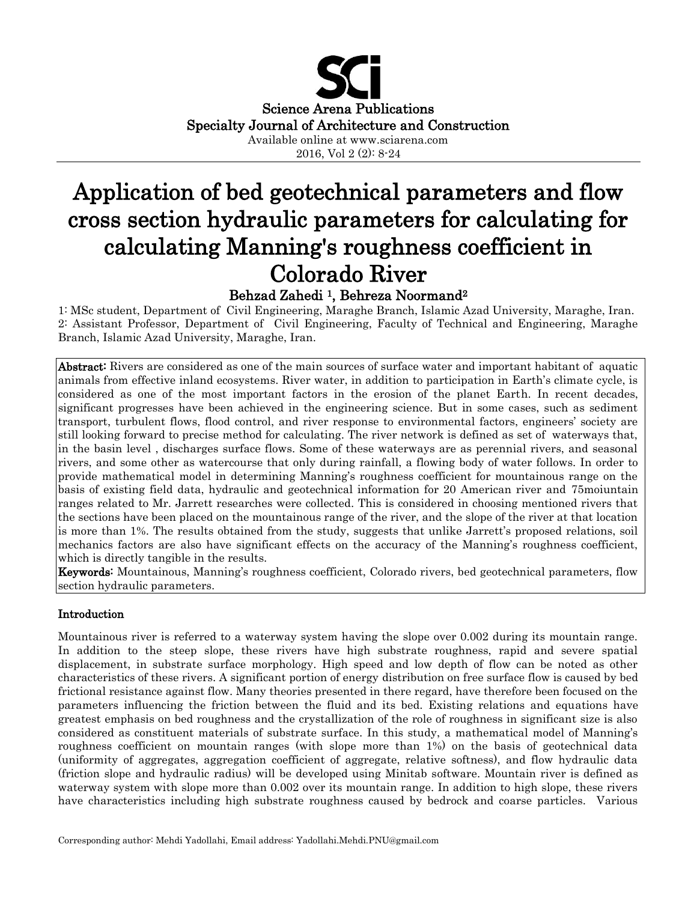

2016, Vol 2 (2): 8-24

# Application of bed geotechnical parameters and flow cross section hydraulic parameters for calculating for calculating Manning's roughness coefficient in Colorado River

## Behzad Zahedi 1, Behreza Noormand<sup>2</sup>

1: MSc student, Department of Civil Engineering, Maraghe Branch, Islamic Azad University, Maraghe, Iran. 2: Assistant Professor, Department of Civil Engineering, Faculty of Technical and Engineering, Maraghe Branch, Islamic Azad University, Maraghe, Iran.

Abstract: Rivers are considered as one of the main sources of surface water and important habitant of aquatic animals from effective inland ecosystems. River water, in addition to participation in Earth's climate cycle, is considered as one of the most important factors in the erosion of the planet Earth. In recent decades, significant progresses have been achieved in the engineering science. But in some cases, such as sediment transport, turbulent flows, flood control, and river response to environmental factors, engineers' society are still looking forward to precise method for calculating. The river network is defined as set of waterways that, in the basin level , discharges surface flows. Some of these waterways are as perennial rivers, and seasonal rivers, and some other as watercourse that only during rainfall, a flowing body of water follows. In order to provide mathematical model in determining Manning's roughness coefficient for mountainous range on the basis of existing field data, hydraulic and geotechnical information for 20 American river and 75moiuntain ranges related to Mr. Jarrett researches were collected. This is considered in choosing mentioned rivers that the sections have been placed on the mountainous range of the river, and the slope of the river at that location is more than 1%. The results obtained from the study, suggests that unlike Jarrett's proposed relations, soil mechanics factors are also have significant effects on the accuracy of the Manning's roughness coefficient, which is directly tangible in the results.

Keywords: Mountainous, Manning's roughness coefficient, Colorado rivers, bed geotechnical parameters, flow section hydraulic parameters.

## Introduction

Mountainous river is referred to a waterway system having the slope over 0.002 during its mountain range. In addition to the steep slope, these rivers have high substrate roughness, rapid and severe spatial displacement, in substrate surface morphology. High speed and low depth of flow can be noted as other characteristics of these rivers. A significant portion of energy distribution on free surface flow is caused by bed frictional resistance against flow. Many theories presented in there regard, have therefore been focused on the parameters influencing the friction between the fluid and its bed. Existing relations and equations have greatest emphasis on bed roughness and the crystallization of the role of roughness in significant size is also considered as constituent materials of substrate surface. In this study, a mathematical model of Manning's roughness coefficient on mountain ranges (with slope more than 1%) on the basis of geotechnical data (uniformity of aggregates, aggregation coefficient of aggregate, relative softness), and flow hydraulic data (friction slope and hydraulic radius) will be developed using Minitab software. Mountain river is defined as waterway system with slope more than 0.002 over its mountain range. In addition to high slope, these rivers have characteristics including high substrate roughness caused by bedrock and coarse particles. Various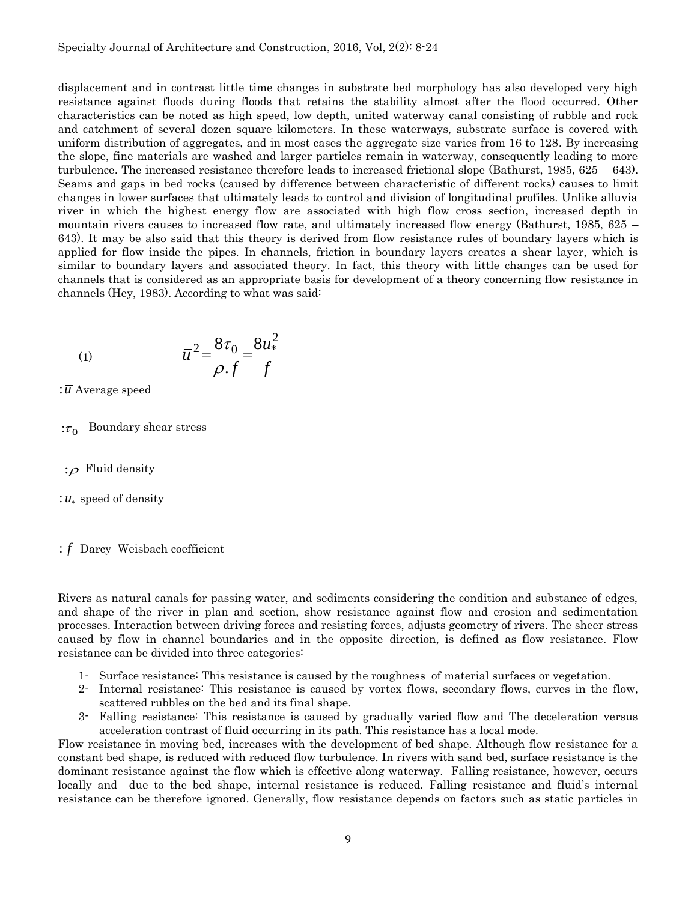displacement and in contrast little time changes in substrate bed morphology has also developed very high resistance against floods during floods that retains the stability almost after the flood occurred. Other characteristics can be noted as high speed, low depth, united waterway canal consisting of rubble and rock and catchment of several dozen square kilometers. In these waterways, substrate surface is covered with uniform distribution of aggregates, and in most cases the aggregate size varies from 16 to 128. By increasing the slope, fine materials are washed and larger particles remain in waterway, consequently leading to more turbulence. The increased resistance therefore leads to increased frictional slope (Bathurst, 1985, 625 – 643). Seams and gaps in bed rocks (caused by difference between characteristic of different rocks) causes to limit changes in lower surfaces that ultimately leads to control and division of longitudinal profiles. Unlike alluvia river in which the highest energy flow are associated with high flow cross section, increased depth in mountain rivers causes to increased flow rate, and ultimately increased flow energy (Bathurst, 1985, 625 – 643). It may be also said that this theory is derived from flow resistance rules of boundary layers which is applied for flow inside the pipes. In channels, friction in boundary layers creates a shear layer, which is similar to boundary layers and associated theory. In fact, this theory with little changes can be used for channels that is considered as an appropriate basis for development of a theory concerning flow resistance in channels (Hey, 1983). According to what was said:

$$
(1) \t\t \overline{u}^2 = \frac{8\tau_0}{\rho \cdot f} = \frac{8u_*^2}{f}
$$

- :*u* Average speed
- $:\tau_0$  Boundary shear stress
- : $\rho$  Fluid density
- $: u_*$  speed of density

: *f* Darcy–Weisbach coefficient

Rivers as natural canals for passing water, and sediments considering the condition and substance of edges, and shape of the river in plan and section, show resistance against flow and erosion and sedimentation processes. Interaction between driving forces and resisting forces, adjusts geometry of rivers. The sheer stress caused by flow in channel boundaries and in the opposite direction, is defined as flow resistance. Flow resistance can be divided into three categories:

- 1- Surface resistance: This resistance is caused by the roughness of material surfaces or vegetation.
- 2- Internal resistance: This resistance is caused by vortex flows, secondary flows, curves in the flow, scattered rubbles on the bed and its final shape.
- 3- Falling resistance: This resistance is caused by gradually varied flow and The deceleration versus acceleration contrast of fluid occurring in its path. This resistance has a local mode.

Flow resistance in moving bed, increases with the development of bed shape. Although flow resistance for a constant bed shape, is reduced with reduced flow turbulence. In rivers with sand bed, surface resistance is the dominant resistance against the flow which is effective along waterway. Falling resistance, however, occurs locally and due to the bed shape, internal resistance is reduced. Falling resistance and fluid's internal resistance can be therefore ignored. Generally, flow resistance depends on factors such as static particles in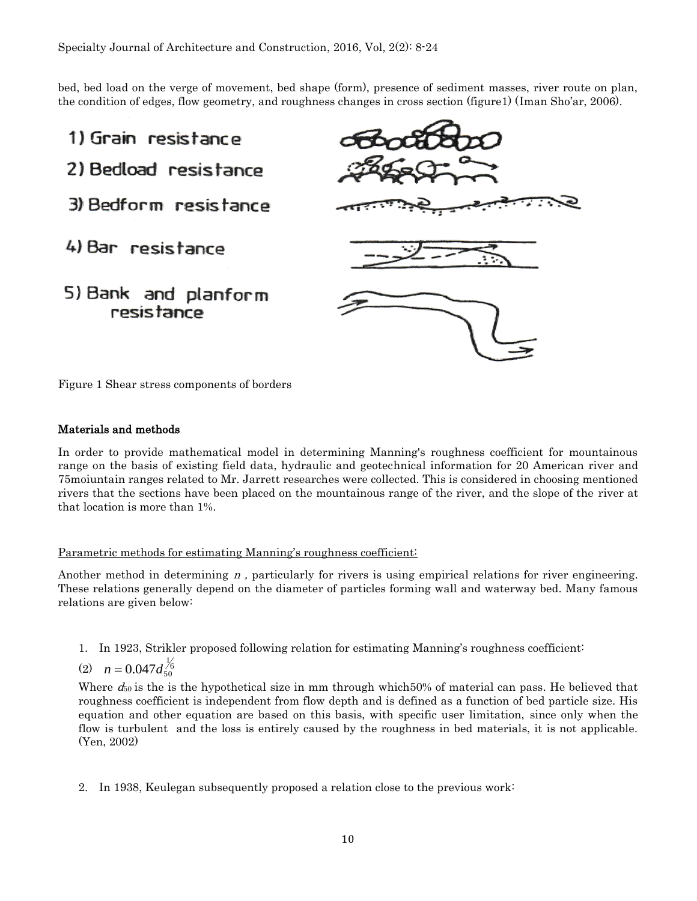bed, bed load on the verge of movement, bed shape (form), presence of sediment masses, river route on plan, the condition of edges, flow geometry, and roughness changes in cross section (figure1) (Iman Sho'ar, 2006).



Figure 1 Shear stress components of borders

#### Materials and methods

In order to provide mathematical model in determining Manning's roughness coefficient for mountainous range on the basis of existing field data, hydraulic and geotechnical information for 20 American river and 75moiuntain ranges related to Mr. Jarrett researches were collected. This is considered in choosing mentioned rivers that the sections have been placed on the mountainous range of the river, and the slope of the river at that location is more than 1%.

#### Parametric methods for estimating Manning's roughness coefficient:

Another method in determining  $n$ , particularly for rivers is using empirical relations for river engineering. These relations generally depend on the diameter of particles forming wall and waterway bed. Many famous relations are given below:

1. In 1923, Strikler proposed following relation for estimating Manning's roughness coefficient:

$$
(2) \quad n = 0.047 d_{50}^{\frac{1}{6}}
$$

Where  $d_{50}$  is the is the hypothetical size in mm through which 50% of material can pass. He believed that roughness coefficient is independent from flow depth and is defined as a function of bed particle size. His equation and other equation are based on this basis, with specific user limitation, since only when the flow is turbulent and the loss is entirely caused by the roughness in bed materials, it is not applicable. (Yen, 2002)

2. In 1938, Keulegan subsequently proposed a relation close to the previous work: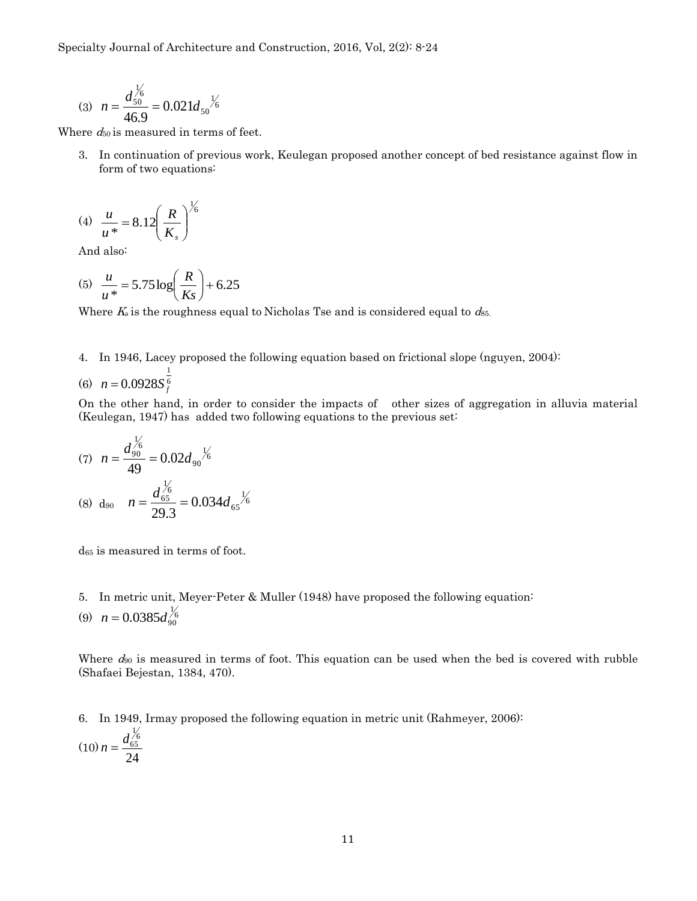Specialty Journal of Architecture and Construction, 2016, Vol, 2(2): 8-24

$$
(3) \ \ n = \frac{d_{50}^{1/6}}{46.9} = 0.021 d_{50}^{1/6}
$$

Where  $d_{50}$  is measured in terms of feet.

3. In continuation of previous work, Keulegan proposed another concept of bed resistance against flow in form of two equations:

$$
(4) \frac{u}{u^*} = 8.12 \left(\frac{R}{K_s}\right)^{\frac{1}{6}}
$$

And also:

(5) 
$$
\frac{u}{u^*} = 5.75 \log \left( \frac{R}{Ks} \right) + 6.25
$$

Where  $K_s$  is the roughness equal to Nicholas Tse and is considered equal to  $d_{85}$ .

4. In 1946, Lacey proposed the following equation based on frictional slope (nguyen, 2004):

(6) 
$$
n = 0.0928S_f^{\frac{1}{6}}
$$

On the other hand, in order to consider the impacts of other sizes of aggregation in alluvia material (Keulegan, 1947) has added two following equations to the previous set:

(7) 
$$
n = \frac{d_{90}^{1/6}}{49} = 0.02d_{90}^{1/6}
$$
  
\n(8)  $d_{90} \quad n = \frac{d_{65}^{1/6}}{29.3} = 0.034d_{65}^{1/6}$ 

d<sup>65</sup> is measured in terms of foot.

- 5. In metric unit, Meyer-Peter & Muller (1948) have proposed the following equation:
- (9)  $n = 0.0385 d_{90}^{1/6}$

Where  $d_{90}$  is measured in terms of foot. This equation can be used when the bed is covered with rubble (Shafaei Bejestan, 1384, 470).

6. In 1949, Irmay proposed the following equation in metric unit (Rahmeyer, 2006):

$$
(10)\,n = \frac{d_{65}^{1/6}}{24}
$$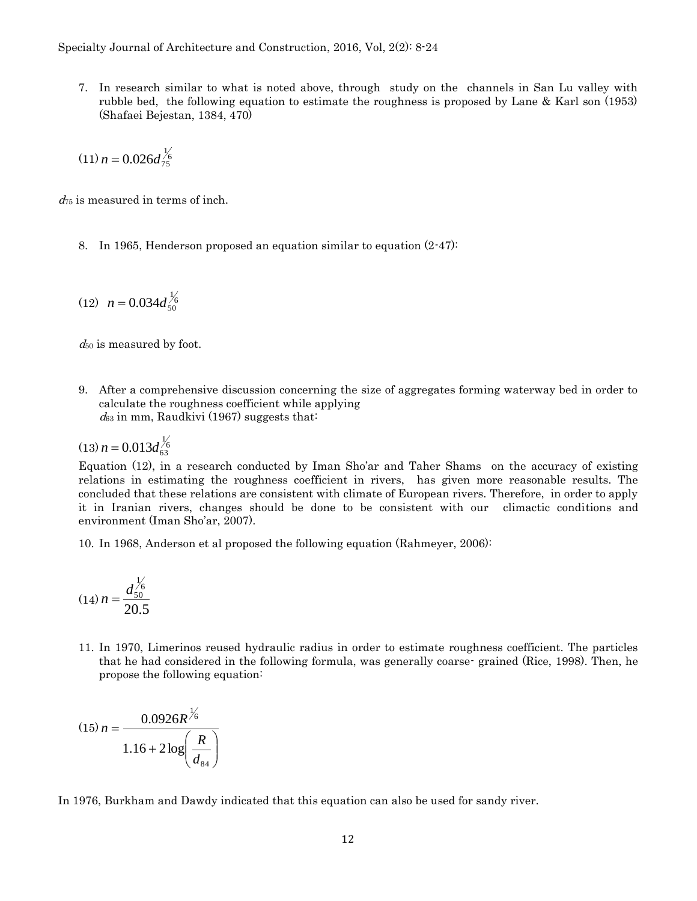7. In research similar to what is noted above, through study on the channels in San Lu valley with rubble bed, the following equation to estimate the roughness is proposed by Lane & Karl son (1953) (Shafaei Bejestan, 1384, 470)

$$
(11) n = 0.026 d_{75}^{1/6}
$$

 $d_{75}$  is measured in terms of inch.

8. In 1965, Henderson proposed an equation similar to equation (2-47):

$$
(12) \ \ n = 0.034 d_{50}^{1/6}
$$

 $d_{50}$  is measured by foot.

9. After a comprehensive discussion concerning the size of aggregates forming waterway bed in order to calculate the roughness coefficient while applying  $d_{63}$  in mm, Raudkivi (1967) suggests that:

 $(13) n = 0.013 d_{63}^{1/6}$ 

Equation (12), in a research conducted by Iman Sho'ar and Taher Shams on the accuracy of existing relations in estimating the roughness coefficient in rivers, has given more reasonable results. The concluded that these relations are consistent with climate of European rivers. Therefore, in order to apply it in Iranian rivers, changes should be done to be consistent with our climactic conditions and environment (Iman Sho'ar, 2007).

10. In 1968, Anderson et al proposed the following equation (Rahmeyer, 2006):

$$
(14) n = \frac{d_{50}^{1/6}}{20.5}
$$

11. In 1970, Limerinos reused hydraulic radius in order to estimate roughness coefficient. The particles that he had considered in the following formula, was generally coarse- grained (Rice, 1998). Then, he propose the following equation:

$$
(15) n = \frac{0.0926R^{\frac{1}{6}}}{1.16 + 2 \log \left(\frac{R}{d_{\text{sa}}}\right)}
$$

In 1976, Burkham and Dawdy indicated that this equation can also be used for sandy river.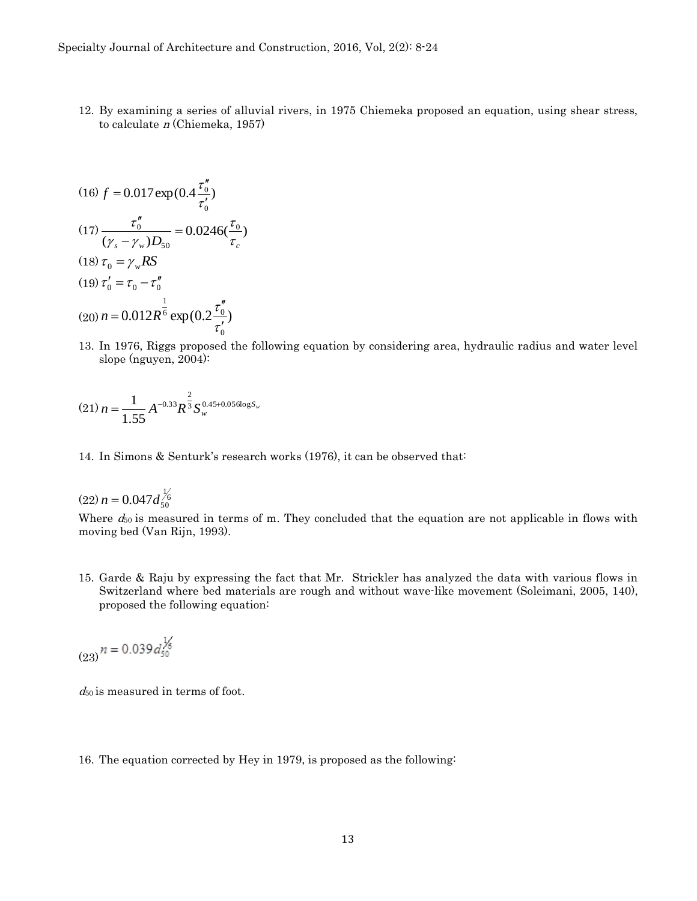12. By examining a series of alluvial rivers, in 1975 Chiemeka proposed an equation, using shear stress, to calculate <sup>n</sup> (Chiemeka, 1957)

(16) 
$$
f = 0.017 \exp(0.4 \frac{\tau_0''}{\tau_0'})
$$
  
\n(17)  $\frac{\tau_0''}{(\gamma_s - \gamma_w)D_{50}} = 0.0246(\frac{\tau_0}{\tau_c})$   
\n(18)  $\tau_0 = \gamma_w RS$   
\n(19)  $\tau_0' = \tau_0 - \tau_0''$   
\n(20)  $n = 0.012R^{\frac{1}{6}} \exp(0.2 \frac{\tau_0''}{\tau_0'})$ 

13. In 1976, Riggs proposed the following equation by considering area, hydraulic radius and water level slope (nguyen, 2004):

$$
(21) n = \frac{1}{1.55} A^{-0.33} R^{\frac{2}{3}} S_{w}^{0.45+0.056 \log S_{w}}
$$

14. In Simons & Senturk's research works (1976), it can be observed that:

 $(22) n = 0.047 d_{50}^{1/6}$ 

Where  $d_{50}$  is measured in terms of m. They concluded that the equation are not applicable in flows with moving bed (Van Rijn, 1993).

15. Garde & Raju by expressing the fact that Mr. Strickler has analyzed the data with various flows in Switzerland where bed materials are rough and without wave-like movement (Soleimani, 2005, 140), proposed the following equation:

$$
_{(23)}n=0.039d_{50}^{1/6}
$$

 $d_{50}$  is measured in terms of foot.

16. The equation corrected by Hey in 1979, is proposed as the following: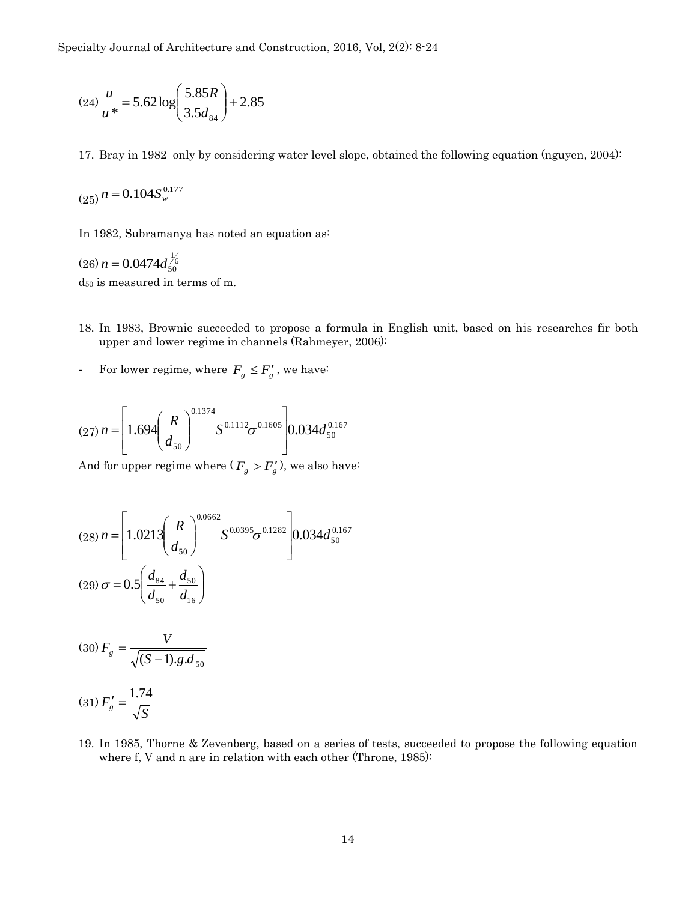$$
(24)\frac{u}{u^*} = 5.62 \log \left(\frac{5.85R}{3.5d_{84}}\right) + 2.85
$$

17. Bray in 1982 only by considering water level slope, obtained the following equation (nguyen, 2004):

$$
(25) n = 0.104 S_{w}^{0.177}
$$

In 1982, Subramanya has noted an equation as:

 $(26) n = 0.0474 d_{50}^{1/6}$ d<sup>50</sup> is measured in terms of m.

- 18. In 1983, Brownie succeeded to propose a formula in English unit, based on his researches fir both upper and lower regime in channels (Rahmeyer, 2006):
- For lower regime, where  $F_g \leq F'_g$ , we have:

$$
(27) n = \left[1.694 \left(\frac{R}{d_{50}}\right)^{0.1374} S^{0.1112} \sigma^{0.1605} \right] 0.034 d_{50}^{0.167}
$$

And for upper regime where ( $F_{g} > F_{g}'$ ), we also have:

$$
(28) n = \left[ 1.0213 \left( \frac{R}{d_{50}} \right)^{0.0662} S^{0.0395} \sigma^{0.1282} \right] 0.034 d_{50}^{0.167}
$$
  

$$
(29) \sigma = 0.5 \left( \frac{d_{84}}{d_{50}} + \frac{d_{50}}{d_{16}} \right)
$$

$$
(30) \, F_g = \frac{V}{\sqrt{(S-1).g.d_{50}}}
$$

$$
(31)\,F'_g = \frac{1.74}{\sqrt{S}}
$$

19. In 1985, Thorne & Zevenberg, based on a series of tests, succeeded to propose the following equation where f, V and n are in relation with each other (Throne, 1985):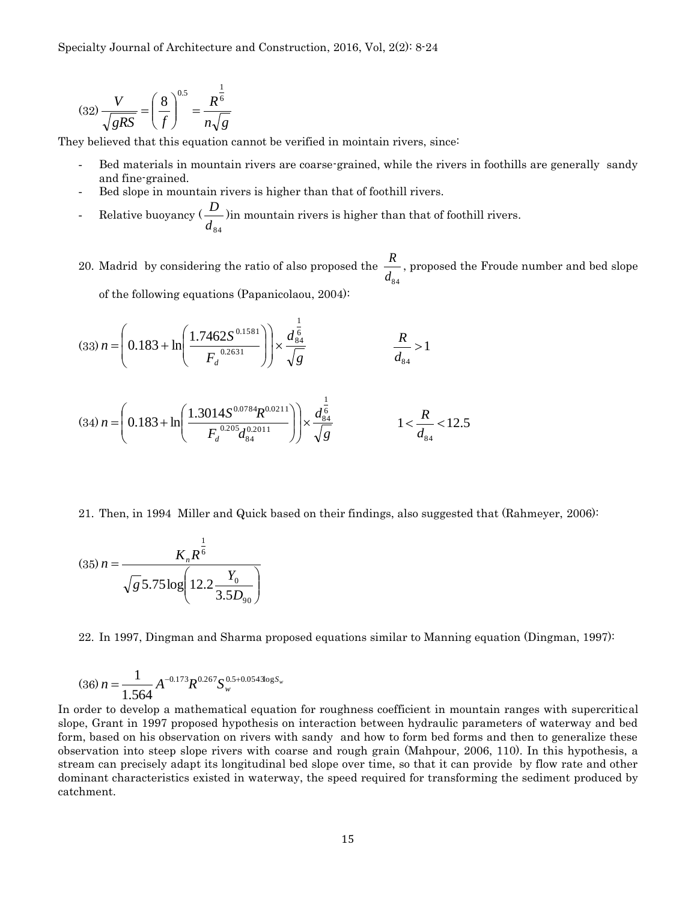$$
(32)\frac{V}{\sqrt{gRS}} = \left(\frac{8}{f}\right)^{0.5} = \frac{R^{\frac{1}{6}}}{n\sqrt{g}}
$$

They believed that this equation cannot be verified in mointain rivers, since:

- Bed materials in mountain rivers are coarse-grained, while the rivers in foothills are generally sandy and fine-grained.
- Bed slope in mountain rivers is higher than that of foothill rivers.
- Relative buoyancy (  $d_{\overline{8}4}$ *D* )in mountain rivers is higher than that of foothill rivers.
- 20. Madrid by considering the ratio of also proposed the  $d_{\overline{8}4}$ *R* , proposed the Froude number and bed slope of the following equations (Papanicolaou, 2004):

$$
(33) n = \left(0.183 + \ln\left(\frac{1.7462S^{0.1581}}{F_d^{0.2631}}\right)\right) \times \frac{d_{84}^{\frac{1}{6}}}{\sqrt{g}} \qquad \qquad \frac{R}{d_{84}} > 1
$$
  

$$
(34) n = \left(0.183 + \ln\left(\frac{1.3014S^{0.0784}R^{0.0211}}{F_d^{0.205}d_{84}^{0.2011}}\right)\right) \times \frac{d_{84}^{\frac{1}{6}}}{\sqrt{g}} \qquad \qquad 1 < \frac{R}{d_{84}} < 12.5
$$

 $F_d^{\,0.205}d$ 

*d*

 $\setminus$ 

21. Then, in 1994 Miller and Quick based on their findings, also suggested that (Rahmeyer, 2006):

*g*

84

*d*

J

J

$$
(35) n = \frac{K_n R^{\frac{1}{6}}}{\sqrt{g} 5.75 \log \left(12.2 \frac{Y_0}{3.5 D_{90}}\right)}
$$

 $\mathsf{I}$ 

 $\setminus$ 

22. In 1997, Dingman and Sharma proposed equations similar to Manning equation (Dingman, 1997):

$$
(36) n = \frac{1}{1.564} A^{-0.173} R^{0.267} S_{w}^{0.5+0.0543 \log S_{w}}
$$

In order to develop a mathematical equation for roughness coefficient in mountain ranges with supercritical slope, Grant in 1997 proposed hypothesis on interaction between hydraulic parameters of waterway and bed form, based on his observation on rivers with sandy and how to form bed forms and then to generalize these observation into steep slope rivers with coarse and rough grain (Mahpour, 2006, 110). In this hypothesis, a stream can precisely adapt its longitudinal bed slope over time, so that it can provide by flow rate and other dominant characteristics existed in waterway, the speed required for transforming the sediment produced by catchment.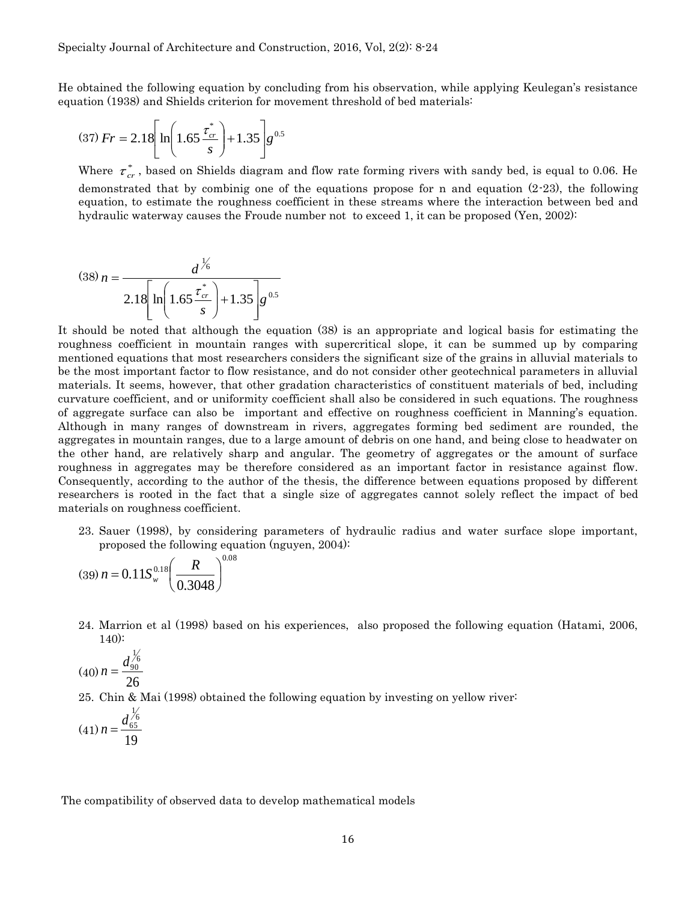He obtained the following equation by concluding from his observation, while applying Keulegan's resistance equation (1938) and Shields criterion for movement threshold of bed materials:

$$
(37) Fr = 2.18 \left[ \ln \left( 1.65 \frac{\tau_{cr}^*}{s} \right) + 1.35 \right] g^{0.5}
$$

Where  $\tau_{cr}^*$ , based on Shields diagram and flow rate forming rivers with sandy bed, is equal to 0.06. He demonstrated that by combinig one of the equations propose for n and equation  $(2-23)$ , the following equation, to estimate the roughness coefficient in these streams where the interaction between bed and hydraulic waterway causes the Froude number not to exceed 1, it can be proposed (Yen, 2002):

$$
(38) n = \frac{d^{1/6}}{2.18 \left[ \ln \left( 1.65 \frac{\tau_{cr}^*}{s} \right) + 1.35 \right] g^{0.5}}
$$

It should be noted that although the equation (38) is an appropriate and logical basis for estimating the roughness coefficient in mountain ranges with supercritical slope, it can be summed up by comparing mentioned equations that most researchers considers the significant size of the grains in alluvial materials to be the most important factor to flow resistance, and do not consider other geotechnical parameters in alluvial materials. It seems, however, that other gradation characteristics of constituent materials of bed, including curvature coefficient, and or uniformity coefficient shall also be considered in such equations. The roughness of aggregate surface can also be important and effective on roughness coefficient in Manning's equation. Although in many ranges of downstream in rivers, aggregates forming bed sediment are rounded, the aggregates in mountain ranges, due to a large amount of debris on one hand, and being close to headwater on the other hand, are relatively sharp and angular. The geometry of aggregates or the amount of surface roughness in aggregates may be therefore considered as an important factor in resistance against flow. Consequently, according to the author of the thesis, the difference between equations proposed by different researchers is rooted in the fact that a single size of aggregates cannot solely reflect the impact of bed materials on roughness coefficient.

23. Sauer (1998), by considering parameters of hydraulic radius and water surface slope important, proposed the following equation (nguyen, 2004):

$$
(39) n = 0.11 S_{w}^{0.18} \left(\frac{R}{0.3048}\right)^{0.08}
$$

24. Marrion et al (1998) based on his experiences, also proposed the following equation (Hatami, 2006, 140):

$$
(40) n = \frac{d_{90}^{1/6}}{26}
$$

25. Chin & Mai (1998) obtained the following equation by investing on yellow river:

$$
(41) n = \frac{d_{65}^{1/6}}{19}
$$

The compatibility of observed data to develop mathematical models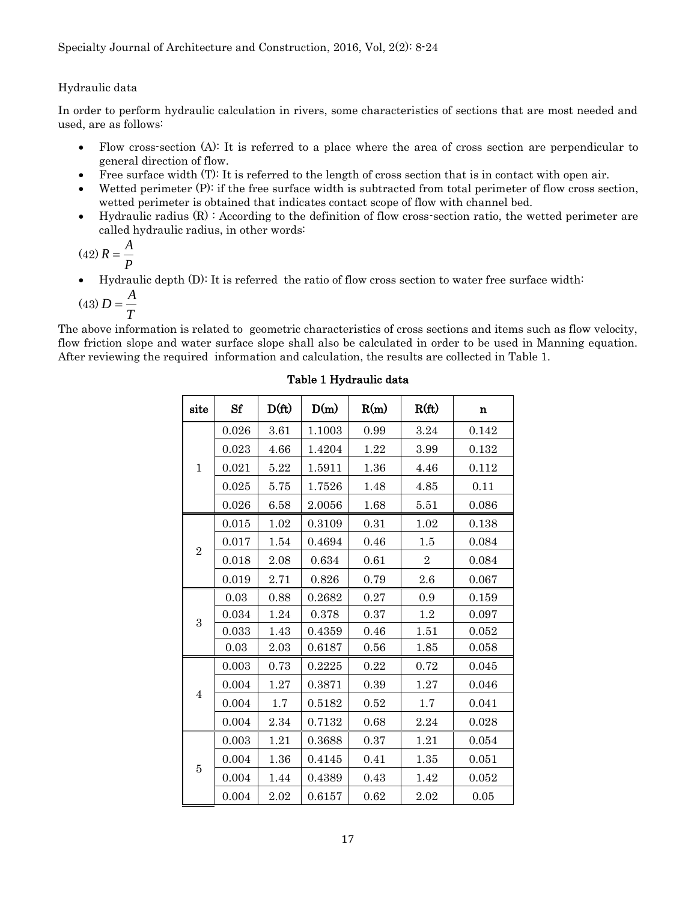## Hydraulic data

In order to perform hydraulic calculation in rivers, some characteristics of sections that are most needed and used, are as follows:

- Flow cross-section (A): It is referred to a place where the area of cross section are perpendicular to general direction of flow.
- Free surface width (T): It is referred to the length of cross section that is in contact with open air.
- Wetted perimeter (P): if the free surface width is subtracted from total perimeter of flow cross section, wetted perimeter is obtained that indicates contact scope of flow with channel bed.
- $\bullet$  Hydraulic radius  $(R)$ : According to the definition of flow cross-section ratio, the wetted perimeter are called hydraulic radius, in other words:

$$
(42) R = \frac{A}{P}
$$

Hydraulic depth (D): It is referred the ratio of flow cross section to water free surface width:

$$
(43) D = \frac{A}{T}
$$

The above information is related to geometric characteristics of cross sections and items such as flow velocity, flow friction slope and water surface slope shall also be calculated in order to be used in Manning equation. After reviewing the required information and calculation, the results are collected in Table 1.

| site           | Sf    | $D(f_t)$ | D(m)   | R(m) | R(ft)          | n     |
|----------------|-------|----------|--------|------|----------------|-------|
|                | 0.026 | 3.61     | 1.1003 | 0.99 | 3.24           | 0.142 |
|                | 0.023 | 4.66     | 1.4204 | 1.22 | 3.99           | 0.132 |
| 1              | 0.021 | 5.22     | 1.5911 | 1.36 | 4.46           | 0.112 |
|                | 0.025 | 5.75     | 1.7526 | 1.48 | 4.85           | 0.11  |
|                | 0.026 | 6.58     | 2.0056 | 1.68 | 5.51           | 0.086 |
|                | 0.015 | 1.02     | 0.3109 | 0.31 | 1.02           | 0.138 |
|                | 0.017 | 1.54     | 0.4694 | 0.46 | 1.5            | 0.084 |
| $\overline{2}$ | 0.018 | 2.08     | 0.634  | 0.61 | $\overline{2}$ | 0.084 |
|                | 0.019 | 2.71     | 0.826  | 0.79 | 2.6            | 0.067 |
|                | 0.03  | 0.88     | 0.2682 | 0.27 | 0.9            | 0.159 |
| 3              | 0.034 | 1.24     | 0.378  | 0.37 | 1.2            | 0.097 |
|                | 0.033 | 1.43     | 0.4359 | 0.46 | 1.51           | 0.052 |
|                | 0.03  | 2.03     | 0.6187 | 0.56 | 1.85           | 0.058 |
|                | 0.003 | 0.73     | 0.2225 | 0.22 | 0.72           | 0.045 |
|                | 0.004 | 1.27     | 0.3871 | 0.39 | 1.27           | 0.046 |
| $\overline{4}$ | 0.004 | 1.7      | 0.5182 | 0.52 | 1.7            | 0.041 |
|                | 0.004 | 2.34     | 0.7132 | 0.68 | 2.24           | 0.028 |
|                | 0.003 | 1.21     | 0.3688 | 0.37 | 1.21           | 0.054 |
|                | 0.004 | 1.36     | 0.4145 | 0.41 | 1.35           | 0.051 |
| 5              | 0.004 | 1.44     | 0.4389 | 0.43 | 1.42           | 0.052 |
|                | 0.004 | 2.02     | 0.6157 | 0.62 | 2.02           | 0.05  |

## Table 1 Hydraulic data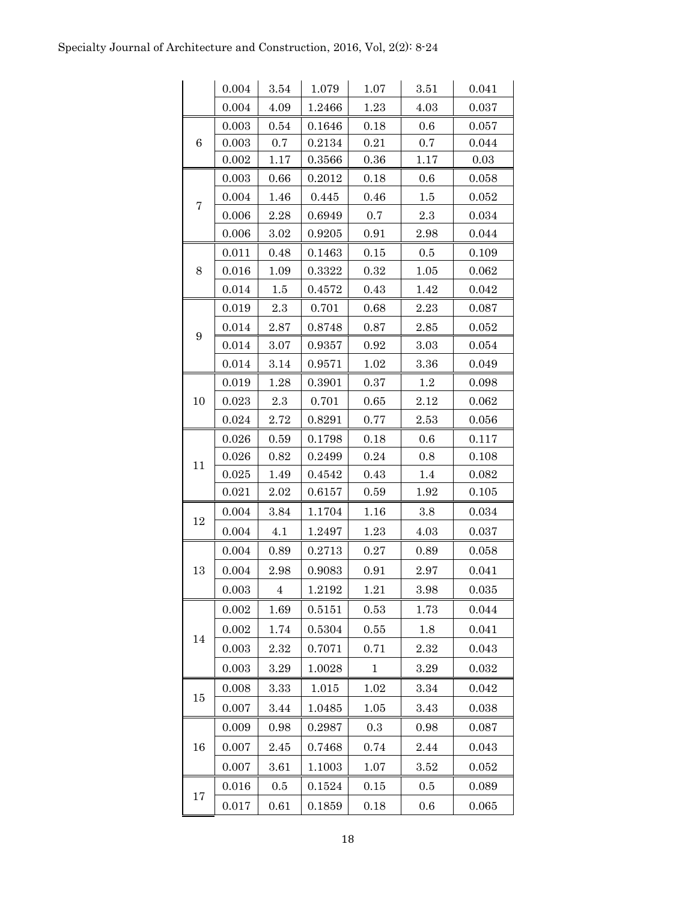|                  | 0.004 | 3.54           | 1.079  | 1.07         | 3.51 | 0.041       |
|------------------|-------|----------------|--------|--------------|------|-------------|
|                  | 0.004 | 4.09           | 1.2466 | 1.23         | 4.03 | 0.037       |
|                  | 0.003 | 0.54           | 0.1646 | 0.18         | 0.6  | 0.057       |
| 6                | 0.003 | 0.7            | 0.2134 | 0.21         | 0.7  | 0.044       |
|                  | 0.002 | 1.17           | 0.3566 | 0.36         | 1.17 | 0.03        |
|                  | 0.003 | 0.66           | 0.2012 | 0.18         | 0.6  | 0.058       |
| 7                | 0.004 | 1.46           | 0.445  | 0.46         | 1.5  | 0.052       |
|                  | 0.006 | 2.28           | 0.6949 | 0.7          | 2.3  | 0.034       |
|                  | 0.006 | 3.02           | 0.9205 | 0.91         | 2.98 | 0.044       |
|                  | 0.011 | 0.48           | 0.1463 | 0.15         | 0.5  | 0.109       |
| 8                | 0.016 | 1.09           | 0.3322 | 0.32         | 1.05 | 0.062       |
|                  | 0.014 | $1.5\,$        | 0.4572 | 0.43         | 1.42 | 0.042       |
|                  | 0.019 | 2.3            | 0.701  | 0.68         | 2.23 | 0.087       |
|                  | 0.014 | 2.87           | 0.8748 | 0.87         | 2.85 | 0.052       |
| $\boldsymbol{9}$ | 0.014 | 3.07           | 0.9357 | 0.92         | 3.03 | 0.054       |
|                  | 0.014 | 3.14           | 0.9571 | 1.02         | 3.36 | 0.049       |
|                  | 0.019 | 1.28           | 0.3901 | 0.37         | 1.2  | 0.098       |
| 10               | 0.023 | 2.3            | 0.701  | 0.65         | 2.12 | 0.062       |
|                  | 0.024 | 2.72           | 0.8291 | 0.77         | 2.53 | 0.056       |
|                  | 0.026 | 0.59           | 0.1798 | 0.18         | 0.6  | 0.117       |
| 11               | 0.026 | 0.82           | 0.2499 | 0.24         | 0.8  | 0.108       |
|                  | 0.025 | 1.49           | 0.4542 | 0.43         | 1.4  | 0.082       |
|                  | 0.021 | 2.02           | 0.6157 | 0.59         | 1.92 | 0.105       |
| 12               | 0.004 | 3.84           | 1.1704 | 1.16         | 3.8  | 0.034       |
|                  | 0.004 | 4.1            | 1.2497 | 1.23         | 4.03 | 0.037       |
|                  | 0.004 | 0.89           | 0.2713 | 0.27         | 0.89 | 0.058       |
| 13               | 0.004 | 2.98           | 0.9083 | 0.91         | 2.97 | 0.041       |
|                  | 0.003 | $\overline{4}$ | 1.2192 | 1.21         | 3.98 | $\,0.035\,$ |
|                  | 0.002 | 1.69           | 0.5151 | 0.53         | 1.73 | 0.044       |
|                  | 0.002 | 1.74           | 0.5304 | 0.55         | 1.8  | 0.041       |
| 14               | 0.003 | 2.32           | 0.7071 | 0.71         | 2.32 | 0.043       |
|                  | 0.003 | 3.29           | 1.0028 | $\mathbf{1}$ | 3.29 | 0.032       |
|                  | 0.008 | 3.33           | 1.015  | 1.02         | 3.34 | 0.042       |
| 15               | 0.007 | 3.44           | 1.0485 | $1.05\,$     | 3.43 | 0.038       |
|                  | 0.009 | 0.98           | 0.2987 | $\rm 0.3$    | 0.98 | 0.087       |
| 16               | 0.007 | 2.45           | 0.7468 | 0.74         | 2.44 | 0.043       |
|                  | 0.007 | 3.61           | 1.1003 | 1.07         | 3.52 | 0.052       |
|                  | 0.016 | 0.5            | 0.1524 | 0.15         | 0.5  | 0.089       |
| 17               | 0.017 | 0.61           | 0.1859 | 0.18         | 0.6  | 0.065       |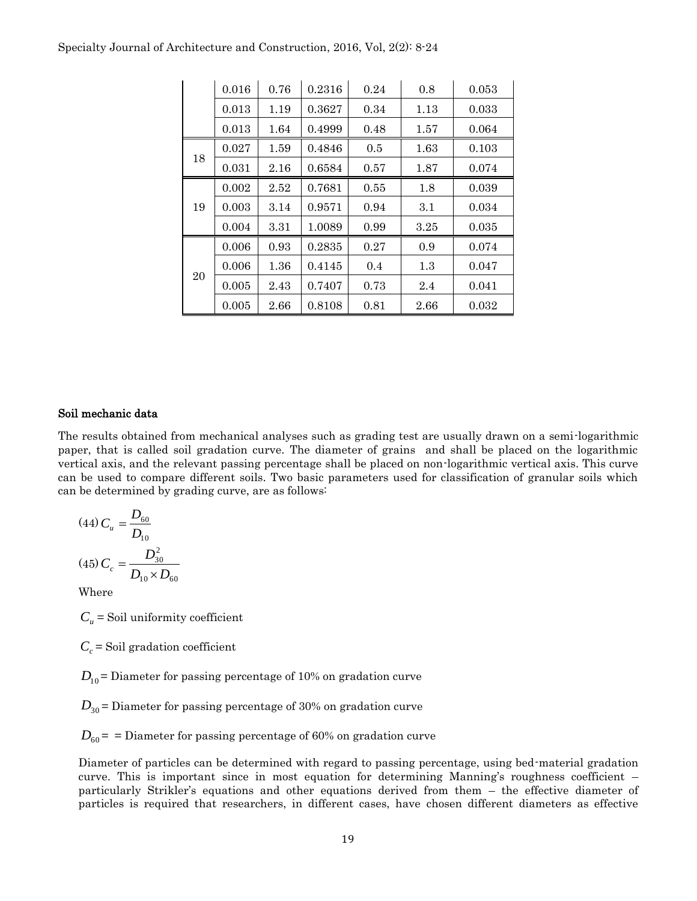|    | 0.016 | 0.76 | 0.2316 | 0.24 | 0.8  | 0.053 |
|----|-------|------|--------|------|------|-------|
|    | 0.013 | 1.19 | 0.3627 | 0.34 | 1.13 | 0.033 |
|    | 0.013 | 1.64 | 0.4999 | 0.48 | 1.57 | 0.064 |
|    | 0.027 | 1.59 | 0.4846 | 0.5  | 1.63 | 0.103 |
| 18 | 0.031 | 2.16 | 0.6584 | 0.57 | 1.87 | 0.074 |
|    | 0.002 | 2.52 | 0.7681 | 0.55 | 1.8  | 0.039 |
| 19 | 0.003 | 3.14 | 0.9571 | 0.94 | 3.1  | 0.034 |
|    | 0.004 | 3.31 | 1.0089 | 0.99 | 3.25 | 0.035 |
|    | 0.006 | 0.93 | 0.2835 | 0.27 | 0.9  | 0.074 |
|    | 0.006 | 1.36 | 0.4145 | 0.4  | 1.3  | 0.047 |
| 20 | 0.005 | 2.43 | 0.7407 | 0.73 | 2.4  | 0.041 |
|    | 0.005 | 2.66 | 0.8108 | 0.81 | 2.66 | 0.032 |

#### Specialty Journal of Architecture and Construction, 2016, Vol, 2(2): 8-24

#### Soil mechanic data

The results obtained from mechanical analyses such as grading test are usually drawn on a semi-logarithmic paper, that is called soil gradation curve. The diameter of grains and shall be placed on the logarithmic vertical axis, and the relevant passing percentage shall be placed on non-logarithmic vertical axis. This curve can be used to compare different soils. Two basic parameters used for classification of granular soils which can be determined by grading curve, are as follows:

$$
(44) C_u = \frac{D_{60}}{D_{10}}
$$

$$
(45) C_c = \frac{D_{30}^2}{D_{10} \times D_{60}}
$$

Where

 $C_u$  = Soil uniformity coefficient

 $C_c$  = Soil gradation coefficient

 $D_{10}$  = Diameter for passing percentage of 10% on gradation curve

 $D_{30}$  = Diameter for passing percentage of 30% on gradation curve

 $D_{60}$  = = Diameter for passing percentage of 60% on gradation curve

Diameter of particles can be determined with regard to passing percentage, using bed-material gradation curve. This is important since in most equation for determining Manning's roughness coefficient – particularly Strikler's equations and other equations derived from them – the effective diameter of particles is required that researchers, in different cases, have chosen different diameters as effective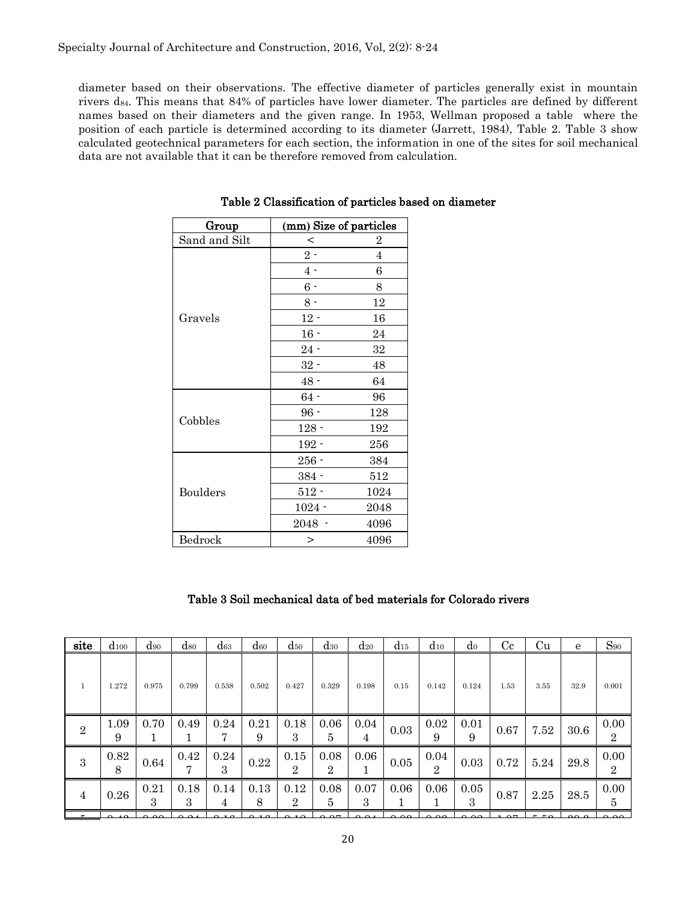diameter based on their observations. The effective diameter of particles generally exist in mountain rivers  $d_{84}$ . This means that 84% of particles have lower diameter. The particles are defined by different names based on their diameters and the given range. In 1953, Wellman proposed a table where the position of each particle is determined according to its diameter (Jarrett, 1984), Table 2. Table 3 show calculated geotechnical parameters for each section, the information in one of the sites for soil mechanical data are not available that it can be therefore removed from calculation.

| Group           | (mm) Size of particles |                  |
|-----------------|------------------------|------------------|
| Sand and Silt   | $\,<\,$                | $\boldsymbol{2}$ |
|                 | $2-$                   | $\overline{4}$   |
|                 | 4 -                    | 6                |
|                 | $6 -$                  | 8                |
|                 | $8 -$                  | 12               |
| Gravels         | $12 -$                 | 16               |
|                 | $16 -$                 | 24               |
|                 | $24 -$                 | 32               |
|                 | $32 -$                 | 48               |
|                 | $48 -$                 | 64               |
|                 | $64 -$                 | 96               |
| Cobbles         | $96 -$                 | 128              |
|                 | $128 -$                | 192              |
|                 | $192 -$                | 256              |
|                 | $256 -$                | 384              |
|                 | $384 -$                | 512              |
| <b>Boulders</b> | $512 -$                | 1024             |
|                 | $1024 -$               | 2048             |
|                 | 2048 -                 | 4096             |
| Bedrock         | $\geq$                 | 4096             |

Table 2 Classification of particles based on diameter

## Table 3 Soil mechanical data of bed materials for Colorado rivers

| site           | $d_{100}$ | $\rm{d}_{90}$         | $\alpha_{80}$ | $\mathrm{d}_{63}$ | $d_{60}$  | $d_{50}$               | $_{\rm d30}$            | $d_{20}$  | $d_{15}$ | $d_{10}$               | d <sub>0</sub> | C <sub>c</sub> | <b>Cu</b> | e    | $S_{90}$               |
|----------------|-----------|-----------------------|---------------|-------------------|-----------|------------------------|-------------------------|-----------|----------|------------------------|----------------|----------------|-----------|------|------------------------|
| $\mathbf{1}$   | 1.272     | 0.975                 | 0.799         | 0.538             | 0.502     | 0.427                  | 0.329                   | 0.198     | 0.15     | 0.142                  | 0.124          | 1.53           | 3.55      | 32.9 | 0.001                  |
| $\sqrt{2}$     | 1.09<br>9 | 0.70                  | 0.49          | 0.24<br>7         | 0.21<br>9 | 0.18<br>3              | 0.06<br>5               | 0.04<br>4 | $0.03\,$ | 0.02<br>9              | 0.01<br>9      | 0.67           | 7.52      | 30.6 | 0.00<br>$\overline{2}$ |
| 3              | 0.82<br>8 | 0.64                  | 0.42<br>7     | 0.24<br>3         | 0.22      | 0.15<br>$\overline{2}$ | 0.08<br>$\overline{2}$  | 0.06      | 0.05     | 0.04<br>$\overline{2}$ | 0.03           | 0.72           | 5.24      | 29.8 | 0.00<br>$\overline{2}$ |
| $\overline{4}$ | 0.26      | 0.21<br>$\mathcal{S}$ | 0.18<br>3     | 0.14<br>4         | 0.13<br>8 | 0.12<br>2              | 0.08<br>5               | 0.07<br>3 | 0.06     | 0.06                   | 0.05<br>3      | 0.87           | 2.25      | 28.5 | 0.00<br>5              |
|                | ്ദ്ര      | റ റെ                  | n n.          | $\sim$ 1 $\sim$   |           | ົາ ລ                   | $\alpha$ $\alpha$ $\pi$ |           | റ റ      | റ ററ                   | റ ററ           | $\Omega$       | $  \sim$  | 000  | 0.00                   |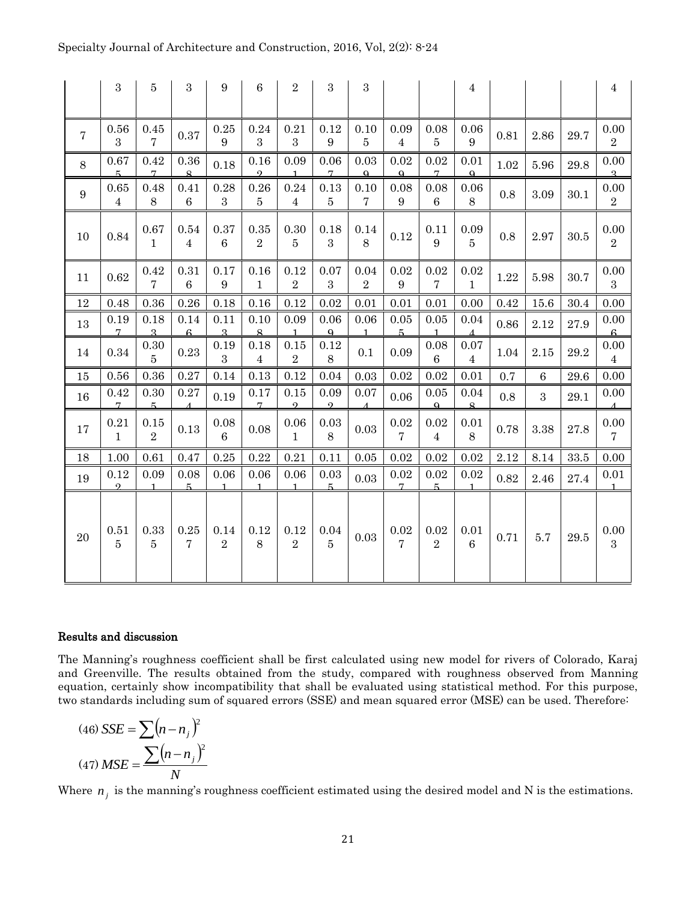|                 | 3                      | 5                      | 3                      | 9                               | $\boldsymbol{6}$       | $\sqrt{2}$             | 3                        | 3                      |                          |                          | $\overline{4}$           |      |          |      | $\bf 4$                    |
|-----------------|------------------------|------------------------|------------------------|---------------------------------|------------------------|------------------------|--------------------------|------------------------|--------------------------|--------------------------|--------------------------|------|----------|------|----------------------------|
| $\overline{7}$  | 0.56<br>3              | 0.45<br>7              | 0.37                   | 0.25<br>9                       | 0.24<br>3              | 0.21<br>3              | 0.12<br>$\boldsymbol{9}$ | 0.10<br>5              | 0.09<br>$\overline{4}$   | 0.08<br>$\overline{5}$   | 0.06<br>$\boldsymbol{9}$ | 0.81 | 2.86     | 29.7 | 0.00<br>$\overline{2}$     |
| 8               | 0.67<br>5              | 0.42<br>$\overline{7}$ | 0.36<br>$\mathbf{R}$   | 0.18                            | 0.16<br>$\Omega$       | 0.09<br>$\mathbf{1}$   | 0.06<br>7                | 0.03<br>$\Omega$       | 0.02<br>$\Omega$         | 0.02<br>7                | 0.01<br>$\Omega$         | 1.02 | 5.96     | 29.8 | 0.00<br>$\overline{a}$     |
| $9\phantom{.0}$ | 0.65<br>$\overline{4}$ | 0.48<br>8              | 0.41<br>$6\phantom{.}$ | 0.28<br>3                       | 0.26<br>$\overline{5}$ | 0.24<br>$\overline{4}$ | 0.13<br>5                | 0.10<br>$\overline{7}$ | 0.08<br>$9\phantom{.0}$  | 0.08<br>$\boldsymbol{6}$ | 0.06<br>8                | 0.8  | 3.09     | 30.1 | 0.00<br>$\overline{2}$     |
| 10              | 0.84                   | 0.67<br>$\mathbf{1}$   | 0.54<br>$\overline{4}$ | 0.37<br>$6\phantom{.}6$         | 0.35<br>$\sqrt{2}$     | 0.30<br>$\overline{5}$ | 0.18<br>3                | 0.14<br>8              | 0.12                     | 0.11<br>9                | 0.09<br>$\overline{5}$   | 0.8  | $2.97\,$ | 30.5 | 0.00<br>$\sqrt{2}$         |
| 11              | 0.62                   | 0.42<br>$\overline{7}$ | 0.31<br>$\,6\,$        | $0.17\,$<br>$\boldsymbol{9}$    | 0.16<br>$\mathbf{1}$   | 0.12<br>$\,2$          | 0.07<br>3                | 0.04<br>$\,2$          | 0.02<br>$\boldsymbol{9}$ | 0.02<br>$\overline{7}$   | 0.02<br>$\mathbf{1}$     | 1.22 | 5.98     | 30.7 | 0.00<br>$\overline{3}$     |
| 12              | 0.48                   | 0.36                   | 0.26                   | 0.18                            | 0.16                   | 0.12                   | 0.02                     | 0.01                   | 0.01                     | 0.01                     | 0.00                     | 0.42 | 15.6     | 30.4 | 0.00                       |
| 13              | 0.19<br>$\overline{7}$ | 0.18<br>$\mathbf{Q}$   | 0.14<br>$\mathbf{c}$   | 0.11<br>$\overline{\mathbf{R}}$ | 0.10<br>$\mathbf{Q}$   | 0.09<br>$\mathbf{1}$   | 0.06<br>$\Omega$         | 0.06<br>$\mathbf{1}$   | 0.05<br>5                | 0.05<br>$\mathbf{1}$     | 0.04<br>$\Lambda$        | 0.86 | 2.12     | 27.9 | 0.00<br>$\mathbf{c}$       |
| 14              | 0.34                   | $\rm 0.30$<br>5        | 0.23                   | 0.19<br>$\boldsymbol{3}$        | 0.18<br>$\overline{4}$ | 0.15<br>$\,2$          | 0.12<br>8                | 0.1                    | 0.09                     | 0.08<br>6                | 0.07<br>$\overline{4}$   | 1.04 | $2.15\,$ | 29.2 | 0.00<br>$\overline{4}$     |
| 15              | 0.56                   | 0.36                   | 0.27                   | 0.14                            | 0.13                   | 0.12                   | 0.04                     | 0.03                   | 0.02                     | 0.02                     | 0.01                     | 0.7  | 6        | 29.6 | 0.00                       |
| 16              | 0.42<br>$\overline{7}$ | 0.30<br>5              | 0.27<br>$\overline{A}$ | 0.19                            | 0.17<br>$\overline{7}$ | 0.15<br>$\Omega$       | 0.09<br>$\Omega$         | 0.07<br>$\Lambda$      | 0.06                     | 0.05<br>$\Omega$         | 0.04<br>$\mathbf{R}$     | 0.8  | 3        | 29.1 | 0.00<br>$\Lambda$          |
| 17              | 0.21<br>$\mathbf{1}$   | 0.15<br>$\overline{2}$ | 0.13                   | 0.08<br>$\overline{6}$          | 0.08                   | 0.06<br>$\mathbf{1}$   | $\rm 0.03$<br>8          | 0.03                   | 0.02<br>$\overline{7}$   | 0.02<br>$\overline{4}$   | 0.01<br>$8\,$            | 0.78 | 3.38     | 27.8 | $0.00\,$<br>$\overline{7}$ |
| 18              | 1.00                   | 0.61                   | 0.47                   | 0.25                            | 0.22                   | 0.21                   | 0.11                     | 0.05                   | 0.02                     | 0.02                     | 0.02                     | 2.12 | 8.14     | 33.5 | 0.00                       |
| 19              | 0.12<br>$\Omega$       | 0.09<br>$\mathbf{1}$   | 0.08<br>5              | 0.06<br>$\mathbf{1}$            | 0.06<br>$\mathbf{1}$   | 0.06<br>$\mathbf{1}$   | 0.03<br>5                | 0.03                   | 0.02<br>$\overline{7}$   | 0.02<br>5                | 0.02<br>$\mathbf{1}$     | 0.82 | 2.46     | 27.4 | 0.01<br>$\mathbf{1}$       |
| 20              | 0.51<br>$\overline{5}$ | 0.33<br>$\overline{5}$ | 0.25<br>$\overline{7}$ | 0.14<br>$\overline{2}$          | 0.12<br>$8\,$          | 0.12<br>$\overline{2}$ | 0.04<br>$\overline{5}$   | 0.03                   | 0.02<br>$\overline{7}$   | 0.02<br>$\overline{2}$   | 0.01<br>$\sqrt{6}$       | 0.71 | 5.7      | 29.5 | 0.00<br>$\overline{3}$     |

#### Results and discussion

The Manning's roughness coefficient shall be first calculated using new model for rivers of Colorado, Karaj and Greenville. The results obtained from the study, compared with roughness observed from Manning equation, certainly show incompatibility that shall be evaluated using statistical method. For this purpose, two standards including sum of squared errors (SSE) and mean squared error (MSE) can be used. Therefore:

$$
(46) SSE = \sum (n - nj)2
$$

$$
(47) MSE = \frac{\sum (n - nj)2}{N}
$$

Where  $n_j$  is the manning's roughness coefficient estimated using the desired model and N is the estimations.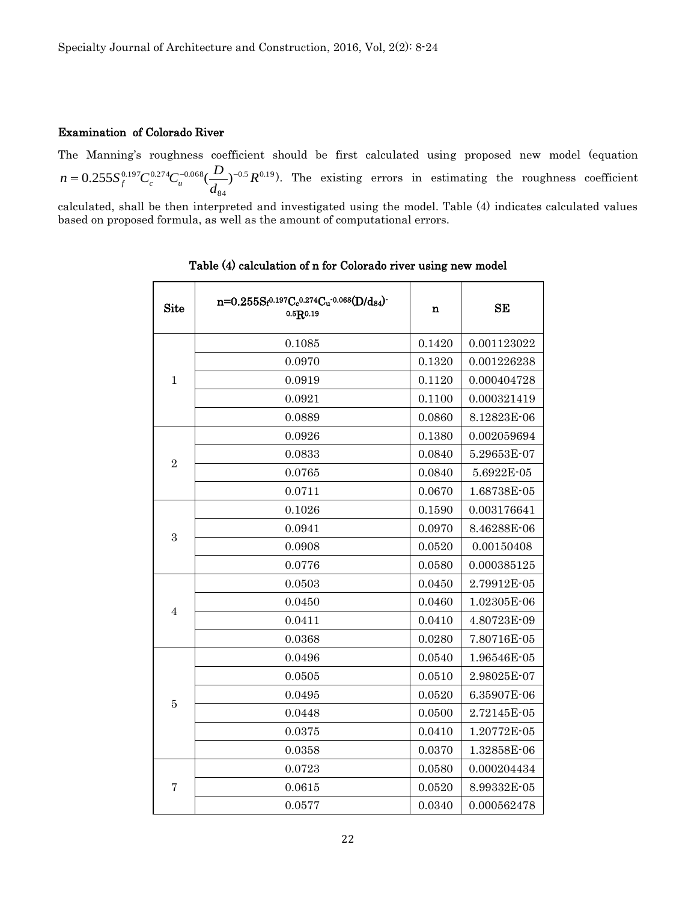#### Examination of Colorado River

The Manning's roughness coefficient should be first calculated using proposed new model (equation  $0.5 \, R^{0.19}$  $0.255S_f^{0.197}C_c^{0.274}C_u^{-0.068}(\frac{D}{d_{84}})^{-0.5}R$ *d*  $n = 0.255 S_f^{0.197} C_c^{0.274} C_u^{-0.068} (\frac{D}{I})^{-0.5} R^{0.19}$ . The existing errors in estimating the roughness coefficient

calculated, shall be then interpreted and investigated using the model. Table (4) indicates calculated values based on proposed formula, as well as the amount of computational errors.

| <b>Site</b>    | $n=0.255S_f^{0.197}C_c^{0.274}C_u^{0.068}(D/d_{84})$<br>0.5R0.19 | $\mathbf n$ | <b>SE</b>   |
|----------------|------------------------------------------------------------------|-------------|-------------|
|                | 0.1085                                                           | 0.1420      | 0.001123022 |
|                | 0.0970                                                           | 0.1320      | 0.001226238 |
| $\mathbf{1}$   | 0.0919                                                           | 0.1120      | 0.000404728 |
|                | 0.0921                                                           | 0.1100      | 0.000321419 |
|                | 0.0889                                                           | 0.0860      | 8.12823E-06 |
|                | 0.0926                                                           | 0.1380      | 0.002059694 |
|                | 0.0833                                                           | 0.0840      | 5.29653E-07 |
| $\overline{2}$ | 0.0765                                                           | 0.0840      | 5.6922E-05  |
|                | 0.0711                                                           | 0.0670      | 1.68738E-05 |
| 3              | 0.1026                                                           | 0.1590      | 0.003176641 |
|                | 0.0941                                                           | 0.0970      | 8.46288E-06 |
|                | 0.0908                                                           | 0.0520      | 0.00150408  |
|                | 0.0776                                                           | 0.0580      | 0.000385125 |
|                | 0.0503                                                           | 0.0450      | 2.79912E-05 |
|                | 0.0450                                                           | 0.0460      | 1.02305E-06 |
| $\overline{4}$ | 0.0411                                                           | 0.0410      | 4.80723E-09 |
|                | 0.0368                                                           | 0.0280      | 7.80716E-05 |
|                | 0.0496                                                           | 0.0540      | 1.96546E-05 |
|                | 0.0505                                                           | 0.0510      | 2.98025E-07 |
|                | 0.0495                                                           | 0.0520      | 6.35907E-06 |
| $\bf 5$        | 0.0448                                                           | 0.0500      | 2.72145E-05 |
|                | 0.0375                                                           | 0.0410      | 1.20772E-05 |
|                | 0.0358                                                           | 0.0370      | 1.32858E-06 |
|                | 0.0723                                                           | 0.0580      | 0.000204434 |
| 7              | 0.0615                                                           | 0.0520      | 8.99332E-05 |
|                | 0.0577                                                           | 0.0340      | 0.000562478 |

Table (4) calculation of n for Colorado river using new model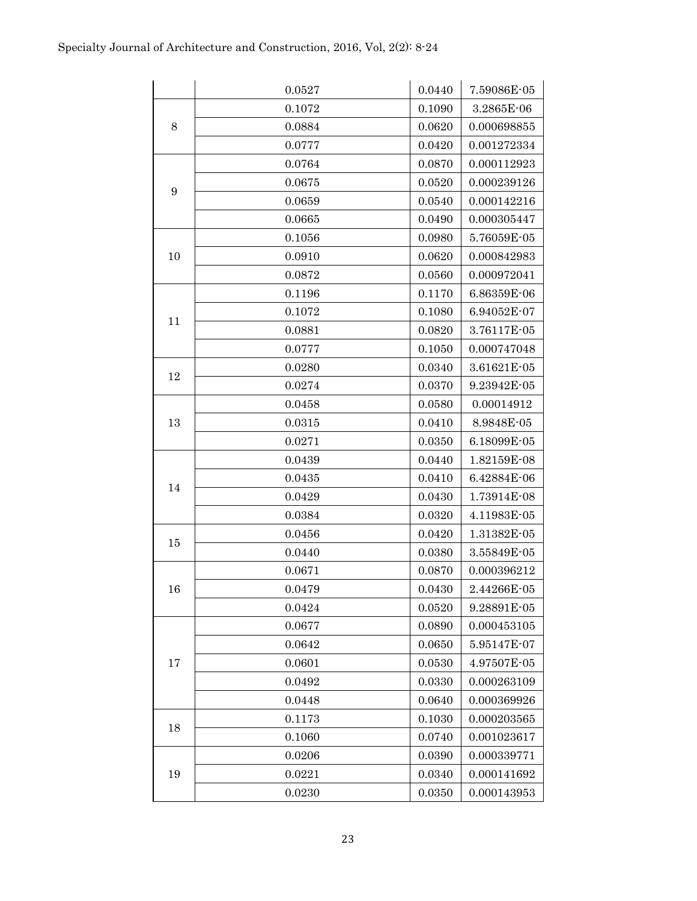|    | 0.0527 | 0.0440 | 7.59086E-05                  |
|----|--------|--------|------------------------------|
|    | 0.1072 | 0.1090 | 3.2865E-06                   |
| 8  | 0.0884 | 0.0620 | 0.000698855                  |
|    | 0.0777 | 0.0420 | 0.001272334                  |
|    | 0.0764 | 0.0870 | 0.000112923                  |
|    | 0.0675 | 0.0520 | 0.000239126                  |
| 9  | 0.0659 | 0.0540 | 0.000142216                  |
|    | 0.0665 | 0.0490 | 0.000305447                  |
|    | 0.1056 | 0.0980 | 5.76059E-05                  |
| 10 | 0.0910 | 0.0620 | 0.000842983                  |
|    | 0.0872 | 0.0560 | 0.000972041                  |
|    | 0.1196 | 0.1170 | 6.86359E-06                  |
|    | 0.1072 | 0.1080 | 6.94052E-07                  |
| 11 | 0.0881 | 0.0820 | 3.76117E-05                  |
|    | 0.0777 | 0.1050 | 0.000747048                  |
| 12 | 0.0280 | 0.0340 | 3.61621E-05                  |
|    | 0.0274 | 0.0370 | 9.23942E-05                  |
|    | 0.0458 | 0.0580 | 0.00014912                   |
| 13 | 0.0315 | 0.0410 | 8.9848E-05                   |
|    | 0.0271 | 0.0350 | 6.18099E-05                  |
|    | 0.0439 | 0.0440 | 1.82159E-08                  |
| 14 | 0.0435 | 0.0410 | 6.42884E-06                  |
|    | 0.0429 | 0.0430 | 1.73914E-08                  |
|    | 0.0384 | 0.0320 | 4.11983E-05                  |
| 15 | 0.0456 | 0.0420 | 1.31382E-05                  |
|    | 0.0440 | 0.0380 | 3.55849E-05                  |
|    | 0.0671 | 0.0870 | 0.000396212                  |
| 16 | 0.0479 | 0.0430 | $2.44266\mathrm{E}{\cdot}05$ |
|    | 0.0424 | 0.0520 | 9.28891E-05                  |
|    | 0.0677 | 0.0890 | 0.000453105                  |
|    | 0.0642 | 0.0650 | 5.95147E-07                  |
| 17 | 0.0601 | 0.0530 | 4.97507E-05                  |
|    | 0.0492 | 0.0330 | 0.000263109                  |
|    | 0.0448 | 0.0640 | 0.000369926                  |
| 18 | 0.1173 | 0.1030 | 0.000203565                  |
|    | 0.1060 | 0.0740 | 0.001023617                  |
|    | 0.0206 | 0.0390 | 0.000339771                  |
| 19 | 0.0221 | 0.0340 | 0.000141692                  |
|    | 0.0230 | 0.0350 | 0.000143953                  |